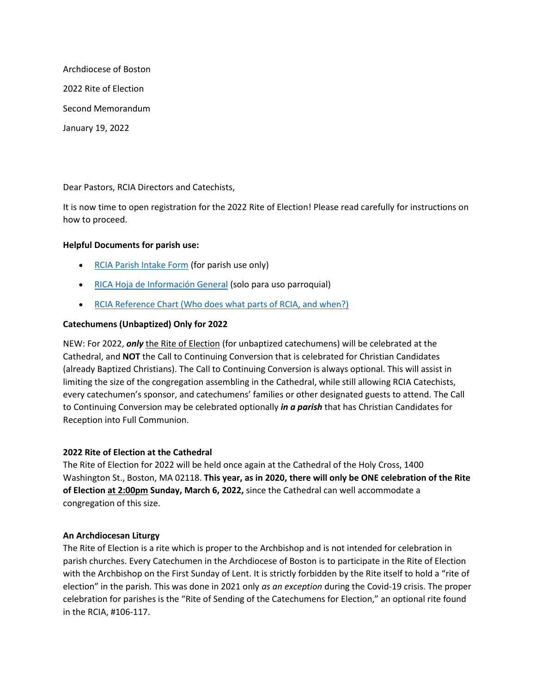Archdiocese of Boston 2022 Rite of Election Second Memorandum January 19, 2022

Dear Pastors, RCIA Directors and Catechists,

It is now time to open registration for the 2022 Rite of Election! Please read carefully for instructions on how to proceed.

# **Helpful Documents for parish use:**

- [RCIA Parish Intake Form](https://www.bostoncatholic.org/sites/g/files/zjfyce871/files/2021-12/RCIA_parish%20intake_form%202021.pdf) (for parish use only)
- [RICA Hoja de Información General](https://www.bostoncatholic.org/sites/g/files/zjfyce871/files/2021-12/RCIA_parish%20intake_form%20Spanish.pdf) (solo para uso parroquial)
- [RCIA Reference Chart \(Who does what parts of RCIA, and when?\)](https://www.bostoncatholic.org/sites/g/files/zjfyce811/files/2019-10/2014RCIA_Reference_Chart.pdf)

## **Catechumens (Unbaptized) Only for 2022**

NEW: For 2022, *only* the Rite of Election (for unbaptized catechumens) will be celebrated at the Cathedral, and **NOT** the Call to Continuing Conversion that is celebrated for Christian Candidates (already Baptized Christians). The Call to Continuing Conversion is always optional. This will assist in limiting the size of the congregation assembling in the Cathedral, while still allowing RCIA Catechists, every catechumen's sponsor, and catechumens' families or other designated guests to attend. The Call to Continuing Conversion may be celebrated optionally *in a parish* that has Christian Candidates for Reception into Full Communion.

## **2022 Rite of Election at the Cathedral**

The Rite of Election for 2022 will be held once again at the Cathedral of the Holy Cross, 1400 Washington St., Boston, MA 02118. **This year, as in 2020, there will only be ONE celebration of the Rite of Election at 2:00pm Sunday, March 6, 2022,** since the Cathedral can well accommodate a congregation of this size.

## **An Archdiocesan Liturgy**

The Rite of Election is a rite which is proper to the Archbishop and is not intended for celebration in parish churches. Every Catechumen in the Archdiocese of Boston is to participate in the Rite of Election with the Archbishop on the First Sunday of Lent. It is strictly forbidden by the Rite itself to hold a "rite of election" in the parish. This was done in 2021 only *as an exception* during the Covid-19 crisis. The proper celebration for parishes is the "Rite of Sending of the Catechumens for Election," an optional rite found in the RCIA, #106-117.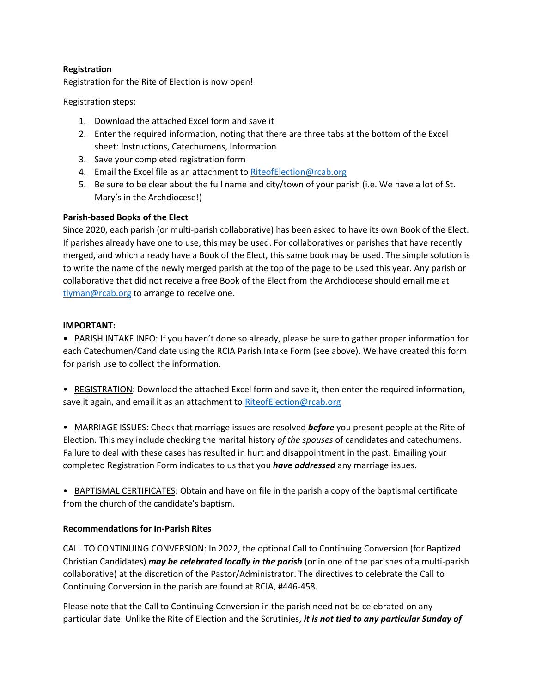# **Registration**

Registration for the Rite of Election is now open!

Registration steps:

- 1. Download the attached Excel form and save it
- 2. Enter the required information, noting that there are three tabs at the bottom of the Excel sheet: Instructions, Catechumens, Information
- 3. Save your completed registration form
- 4. Email the Excel file as an attachment to [RiteofElection@rcab.org](mailto:RiteofElection@rcab.org)
- 5. Be sure to be clear about the full name and city/town of your parish (i.e. We have a lot of St. Mary's in the Archdiocese!)

## **Parish-based Books of the Elect**

Since 2020, each parish (or multi-parish collaborative) has been asked to have its own Book of the Elect. If parishes already have one to use, this may be used. For collaboratives or parishes that have recently merged, and which already have a Book of the Elect, this same book may be used. The simple solution is to write the name of the newly merged parish at the top of the page to be used this year. Any parish or collaborative that did not receive a free Book of the Elect from the Archdiocese should email me at [tlyman@rcab.org](mailto:tlyman@rcab.org) to arrange to receive one.

## **IMPORTANT:**

• PARISH INTAKE INFO: If you haven't done so already, please be sure to gather proper information for each Catechumen/Candidate using the RCIA Parish Intake Form (see above). We have created this form for parish use to collect the information.

• REGISTRATION: Download the attached Excel form and save it, then enter the required information, save it again, and email it as an attachment t[o RiteofElection@rcab.org](mailto:RiteofElection@rcab.org)

• MARRIAGE ISSUES: Check that marriage issues are resolved *before* you present people at the Rite of Election. This may include checking the marital history *of the spouses* of candidates and catechumens. Failure to deal with these cases has resulted in hurt and disappointment in the past. Emailing your completed Registration Form indicates to us that you *have addressed* any marriage issues.

• BAPTISMAL CERTIFICATES: Obtain and have on file in the parish a copy of the baptismal certificate from the church of the candidate's baptism.

## **Recommendations for In-Parish Rites**

CALL TO CONTINUING CONVERSION: In 2022, the optional Call to Continuing Conversion (for Baptized Christian Candidates) *may be celebrated locally in the parish* (or in one of the parishes of a multi-parish collaborative) at the discretion of the Pastor/Administrator. The directives to celebrate the Call to Continuing Conversion in the parish are found at RCIA, #446-458.

Please note that the Call to Continuing Conversion in the parish need not be celebrated on any particular date. Unlike the Rite of Election and the Scrutinies, *it is not tied to any particular Sunday of*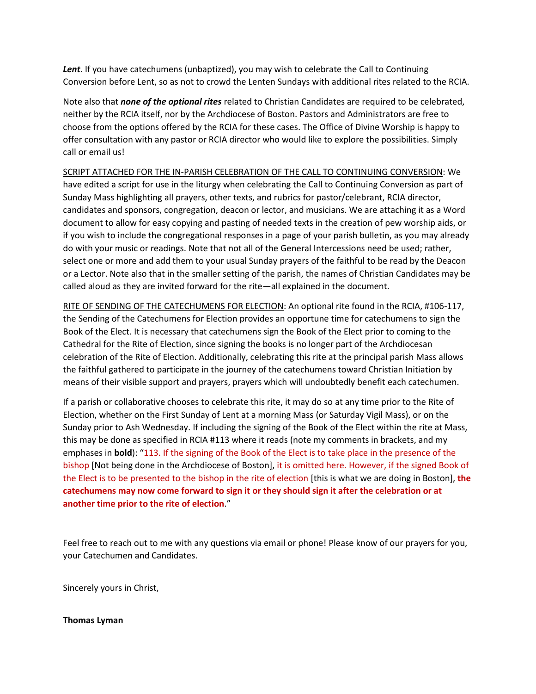*Lent*. If you have catechumens (unbaptized), you may wish to celebrate the Call to Continuing Conversion before Lent, so as not to crowd the Lenten Sundays with additional rites related to the RCIA.

Note also that *none of the optional rites* related to Christian Candidates are required to be celebrated, neither by the RCIA itself, nor by the Archdiocese of Boston. Pastors and Administrators are free to choose from the options offered by the RCIA for these cases. The Office of Divine Worship is happy to offer consultation with any pastor or RCIA director who would like to explore the possibilities. Simply call or email us!

SCRIPT ATTACHED FOR THE IN-PARISH CELEBRATION OF THE CALL TO CONTINUING CONVERSION: We have edited a script for use in the liturgy when celebrating the Call to Continuing Conversion as part of Sunday Mass highlighting all prayers, other texts, and rubrics for pastor/celebrant, RCIA director, candidates and sponsors, congregation, deacon or lector, and musicians. We are attaching it as a Word document to allow for easy copying and pasting of needed texts in the creation of pew worship aids, or if you wish to include the congregational responses in a page of your parish bulletin, as you may already do with your music or readings. Note that not all of the General Intercessions need be used; rather, select one or more and add them to your usual Sunday prayers of the faithful to be read by the Deacon or a Lector. Note also that in the smaller setting of the parish, the names of Christian Candidates may be called aloud as they are invited forward for the rite—all explained in the document.

RITE OF SENDING OF THE CATECHUMENS FOR ELECTION: An optional rite found in the RCIA, #106-117, the Sending of the Catechumens for Election provides an opportune time for catechumens to sign the Book of the Elect. It is necessary that catechumens sign the Book of the Elect prior to coming to the Cathedral for the Rite of Election, since signing the books is no longer part of the Archdiocesan celebration of the Rite of Election. Additionally, celebrating this rite at the principal parish Mass allows the faithful gathered to participate in the journey of the catechumens toward Christian Initiation by means of their visible support and prayers, prayers which will undoubtedly benefit each catechumen.

If a parish or collaborative chooses to celebrate this rite, it may do so at any time prior to the Rite of Election, whether on the First Sunday of Lent at a morning Mass (or Saturday Vigil Mass), or on the Sunday prior to Ash Wednesday. If including the signing of the Book of the Elect within the rite at Mass, this may be done as specified in RCIA #113 where it reads (note my comments in brackets, and my emphases in **bold**): "113. If the signing of the Book of the Elect is to take place in the presence of the bishop [Not being done in the Archdiocese of Boston], it is omitted here. However, if the signed Book of the Elect is to be presented to the bishop in the rite of election [this is what we are doing in Boston], **the catechumens may now come forward to sign it or they should sign it after the celebration or at another time prior to the rite of election**."

Feel free to reach out to me with any questions via email or phone! Please know of our prayers for you, your Catechumen and Candidates.

Sincerely yours in Christ,

## **Thomas Lyman**